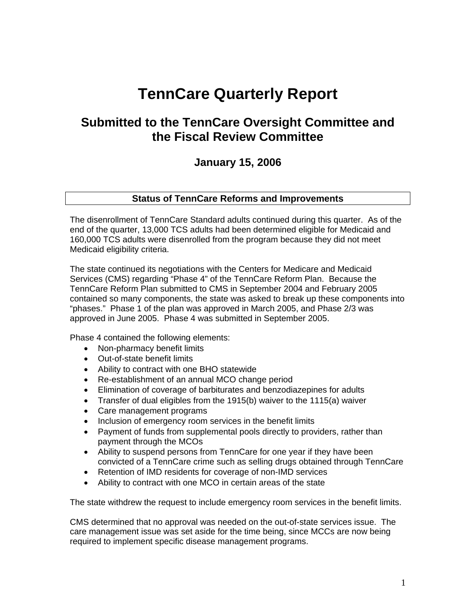# **TennCare Quarterly Report**

# **Submitted to the TennCare Oversight Committee and the Fiscal Review Committee**

# **January 15, 2006**

#### **Status of TennCare Reforms and Improvements**

The disenrollment of TennCare Standard adults continued during this quarter. As of the end of the quarter, 13,000 TCS adults had been determined eligible for Medicaid and 160,000 TCS adults were disenrolled from the program because they did not meet Medicaid eligibility criteria.

The state continued its negotiations with the Centers for Medicare and Medicaid Services (CMS) regarding "Phase 4" of the TennCare Reform Plan. Because the TennCare Reform Plan submitted to CMS in September 2004 and February 2005 contained so many components, the state was asked to break up these components into "phases." Phase 1 of the plan was approved in March 2005, and Phase 2/3 was approved in June 2005. Phase 4 was submitted in September 2005.

Phase 4 contained the following elements:

- Non-pharmacy benefit limits
- Out-of-state benefit limits
- Ability to contract with one BHO statewide
- Re-establishment of an annual MCO change period
- Elimination of coverage of barbiturates and benzodiazepines for adults
- Transfer of dual eligibles from the 1915(b) waiver to the 1115(a) waiver
- Care management programs
- Inclusion of emergency room services in the benefit limits
- Payment of funds from supplemental pools directly to providers, rather than payment through the MCOs
- Ability to suspend persons from TennCare for one year if they have been convicted of a TennCare crime such as selling drugs obtained through TennCare
- Retention of IMD residents for coverage of non-IMD services
- Ability to contract with one MCO in certain areas of the state

The state withdrew the request to include emergency room services in the benefit limits.

CMS determined that no approval was needed on the out-of-state services issue. The care management issue was set aside for the time being, since MCCs are now being required to implement specific disease management programs.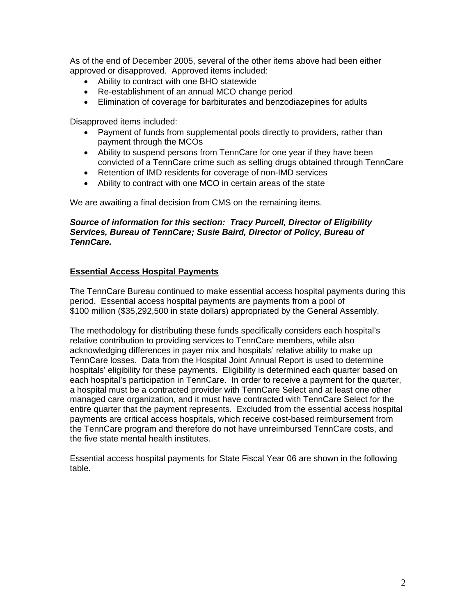As of the end of December 2005, several of the other items above had been either approved or disapproved. Approved items included:

- Ability to contract with one BHO statewide
- Re-establishment of an annual MCO change period
- Elimination of coverage for barbiturates and benzodiazepines for adults

Disapproved items included:

- Payment of funds from supplemental pools directly to providers, rather than payment through the MCOs
- Ability to suspend persons from TennCare for one year if they have been convicted of a TennCare crime such as selling drugs obtained through TennCare
- Retention of IMD residents for coverage of non-IMD services
- Ability to contract with one MCO in certain areas of the state

We are awaiting a final decision from CMS on the remaining items.

#### *Source of information for this section: Tracy Purcell, Director of Eligibility Services, Bureau of TennCare; Susie Baird, Director of Policy, Bureau of TennCare.*

#### **Essential Access Hospital Payments**

 The TennCare Bureau continued to make essential access hospital payments during this period. Essential access hospital payments are payments from a pool of \$100 million (\$35,292,500 in state dollars) appropriated by the General Assembly.

The methodology for distributing these funds specifically considers each hospital's relative contribution to providing services to TennCare members, while also acknowledging differences in payer mix and hospitals' relative ability to make up TennCare losses. Data from the Hospital Joint Annual Report is used to determine hospitals' eligibility for these payments. Eligibility is determined each quarter based on each hospital's participation in TennCare. In order to receive a payment for the quarter, a hospital must be a contracted provider with TennCare Select and at least one other managed care organization, and it must have contracted with TennCare Select for the entire quarter that the payment represents. Excluded from the essential access hospital payments are critical access hospitals, which receive cost-based reimbursement from the TennCare program and therefore do not have unreimbursed TennCare costs, and the five state mental health institutes.

Essential access hospital payments for State Fiscal Year 06 are shown in the following table.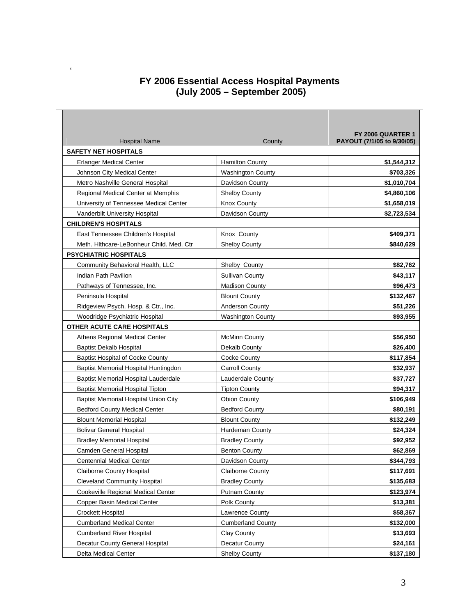### **FY 2006 Essential Access Hospital Payments (July 2005 – September 2005)**

 $\mathbf{r}$ 

| <b>Hospital Name</b>                        | County                   | FY 2006 QUARTER 1<br>PAYOUT (7/1/05 to 9/30/05) |
|---------------------------------------------|--------------------------|-------------------------------------------------|
| <b>SAFETY NET HOSPITALS</b>                 |                          |                                                 |
| Erlanger Medical Center                     | <b>Hamilton County</b>   | \$1,544,312                                     |
| Johnson City Medical Center                 | Washington County        | \$703,326                                       |
| Metro Nashville General Hospital            | Davidson County          | \$1,010,704                                     |
| Regional Medical Center at Memphis          | Shelby County            | \$4,860,106                                     |
| University of Tennessee Medical Center      | <b>Knox County</b>       | \$1,658,019                                     |
| Vanderbilt University Hospital              | Davidson County          | \$2,723,534                                     |
| <b>CHILDREN'S HOSPITALS</b>                 |                          |                                                 |
| East Tennessee Children's Hospital          | Knox County              | \$409,371                                       |
| Meth. Hithcare-LeBonheur Child. Med. Ctr    | <b>Shelby County</b>     | \$840,629                                       |
| <b>PSYCHIATRIC HOSPITALS</b>                |                          |                                                 |
| Community Behavioral Health, LLC            | Shelby County            | \$82.762                                        |
| Indian Path Pavilion                        | <b>Sullivan County</b>   | \$43,117                                        |
| Pathways of Tennessee, Inc.                 | <b>Madison County</b>    | \$96,473                                        |
| Peninsula Hospital                          | <b>Blount County</b>     | \$132,467                                       |
| Ridgeview Psych. Hosp. & Ctr., Inc.         | <b>Anderson County</b>   | \$51,226                                        |
| Woodridge Psychiatric Hospital              | <b>Washington County</b> | \$93,955                                        |
| OTHER ACUTE CARE HOSPITALS                  |                          |                                                 |
| Athens Regional Medical Center              | <b>McMinn County</b>     | \$56,950                                        |
| <b>Baptist Dekalb Hospital</b>              | Dekalb County            | \$26,400                                        |
| <b>Baptist Hospital of Cocke County</b>     | Cocke County             | \$117,854                                       |
| Baptist Memorial Hospital Huntingdon        | Carroll County           | \$32,937                                        |
| Baptist Memorial Hospital Lauderdale        | Lauderdale County        | \$37,727                                        |
| <b>Baptist Memorial Hospital Tipton</b>     | <b>Tipton County</b>     | \$94,317                                        |
| <b>Baptist Memorial Hospital Union City</b> | <b>Obion County</b>      | \$106,949                                       |
| <b>Bedford County Medical Center</b>        | <b>Bedford County</b>    | \$80,191                                        |
| <b>Blount Memorial Hospital</b>             | <b>Blount County</b>     | \$132,249                                       |
| <b>Bolivar General Hospital</b>             | Hardeman County          | \$24,324                                        |
| <b>Bradley Memorial Hospital</b>            | <b>Bradley County</b>    | \$92,952                                        |
| Camden General Hospital                     | <b>Benton County</b>     | \$62,869                                        |
| <b>Centennial Medical Center</b>            | Davidson County          | \$344,793                                       |
| <b>Claiborne County Hospital</b>            | Claiborne County         | \$117,691                                       |
| <b>Cleveland Community Hospital</b>         | <b>Bradley County</b>    | \$135,683                                       |
| Cookeville Regional Medical Center          | Putnam County            | \$123,974                                       |
| Copper Basin Medical Center                 | Polk County              | \$13,381                                        |
| <b>Crockett Hospital</b>                    | Lawrence County          | \$58,367                                        |
| <b>Cumberland Medical Center</b>            | <b>Cumberland County</b> | \$132,000                                       |
| <b>Cumberland River Hospital</b>            | Clay County              | \$13,693                                        |
| Decatur County General Hospital             | Decatur County           | \$24,161                                        |
| Delta Medical Center                        | <b>Shelby County</b>     | \$137,180                                       |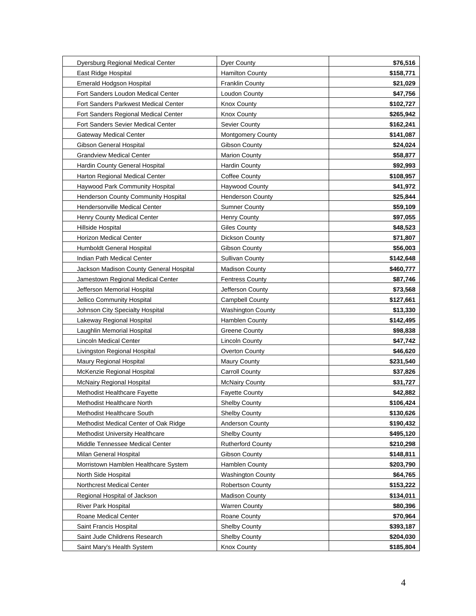| Dyersburg Regional Medical Center          | Dyer County              | \$76,516  |
|--------------------------------------------|--------------------------|-----------|
| East Ridge Hospital                        | <b>Hamilton County</b>   | \$158,771 |
| <b>Emerald Hodgson Hospital</b>            | <b>Franklin County</b>   | \$21,029  |
| Fort Sanders Loudon Medical Center         | Loudon County            | \$47,756  |
| Fort Sanders Parkwest Medical Center       | <b>Knox County</b>       | \$102,727 |
| Fort Sanders Regional Medical Center       | Knox County              | \$265,942 |
| Fort Sanders Sevier Medical Center         | <b>Sevier County</b>     | \$162,241 |
| <b>Gateway Medical Center</b>              | <b>Montgomery County</b> | \$141,087 |
| Gibson General Hospital                    | Gibson County            | \$24,024  |
| <b>Grandview Medical Center</b>            | <b>Marion County</b>     | \$58,877  |
| Hardin County General Hospital             | <b>Hardin County</b>     | \$92,993  |
| Harton Regional Medical Center             | Coffee County            | \$108,957 |
| Haywood Park Community Hospital            | <b>Haywood County</b>    | \$41,972  |
| <b>Henderson County Community Hospital</b> | <b>Henderson County</b>  | \$25,844  |
| <b>Hendersonville Medical Center</b>       | <b>Sumner County</b>     | \$59,109  |
| Henry County Medical Center                | Henry County             | \$97,055  |
| Hillside Hospital                          | <b>Giles County</b>      | \$48,523  |
| <b>Horizon Medical Center</b>              | Dickson County           | \$71,807  |
| Humboldt General Hospital                  | Gibson County            | \$56,003  |
| Indian Path Medical Center                 | <b>Sullivan County</b>   | \$142,648 |
| Jackson Madison County General Hospital    | <b>Madison County</b>    | \$460,777 |
| Jamestown Regional Medical Center          | <b>Fentress County</b>   | \$87,746  |
| Jefferson Memorial Hospital                | Jefferson County         | \$73,568  |
| Jellico Community Hospital                 | <b>Campbell County</b>   | \$127,661 |
| Johnson City Specialty Hospital            | <b>Washington County</b> | \$13,330  |
| Lakeway Regional Hospital                  | Hamblen County           | \$142,495 |
| Laughlin Memorial Hospital                 | <b>Greene County</b>     | \$98,838  |
| Lincoln Medical Center                     | <b>Lincoln County</b>    | \$47,742  |
| Livingston Regional Hospital               | Overton County           | \$46,620  |
| Maury Regional Hospital                    | <b>Maury County</b>      | \$231,540 |
| McKenzie Regional Hospital                 | <b>Carroll County</b>    | \$37,826  |
| <b>McNairy Regional Hospital</b>           | <b>McNairy County</b>    | \$31,727  |
| Methodist Healthcare Fayette               | <b>Fayette County</b>    | \$42,882  |
| Methodist Healthcare North                 | <b>Shelby County</b>     | \$106,424 |
| Methodist Healthcare South                 | <b>Shelby County</b>     | \$130,626 |
| Methodist Medical Center of Oak Ridge      | Anderson County          | \$190,432 |
| Methodist University Healthcare            | <b>Shelby County</b>     | \$495,120 |
| Middle Tennessee Medical Center            | <b>Rutherford County</b> | \$210,298 |
| Milan General Hospital                     | Gibson County            | \$148,811 |
| Morristown Hamblen Healthcare System       | Hamblen County           | \$203,790 |
| North Side Hospital                        | <b>Washington County</b> | \$64,765  |
| Northcrest Medical Center                  | <b>Robertson County</b>  | \$153,222 |
| Regional Hospital of Jackson               | <b>Madison County</b>    | \$134,011 |
| <b>River Park Hospital</b>                 | <b>Warren County</b>     | \$80,396  |
| Roane Medical Center                       | Roane County             | \$70,964  |
| Saint Francis Hospital                     | <b>Shelby County</b>     | \$393,187 |
| Saint Jude Childrens Research              | <b>Shelby County</b>     | \$204,030 |
| Saint Mary's Health System                 | <b>Knox County</b>       | \$185,804 |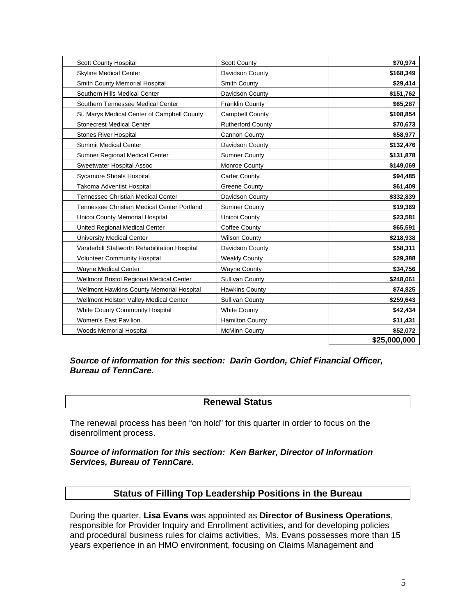| <b>Scott County Hospital</b>                  | <b>Scott County</b>      | \$70,974     |
|-----------------------------------------------|--------------------------|--------------|
| <b>Skyline Medical Center</b>                 | Davidson County          | \$168,349    |
| Smith County Memorial Hospital                | Smith County             | \$29,414     |
| Southern Hills Medical Center                 | Davidson County          | \$151,762    |
| Southern Tennessee Medical Center             | <b>Franklin County</b>   | \$65,287     |
| St. Marys Medical Center of Campbell County   | <b>Campbell County</b>   | \$108,854    |
| <b>Stonecrest Medical Center</b>              | <b>Rutherford County</b> | \$70,673     |
| <b>Stones River Hospital</b>                  | Cannon County            | \$58,977     |
| <b>Summit Medical Center</b>                  | Davidson County          | \$132,476    |
| Sumner Regional Medical Center                | <b>Sumner County</b>     | \$131,878    |
| Sweetwater Hospital Assoc                     | Monroe County            | \$149,069    |
| Sycamore Shoals Hospital                      | <b>Carter County</b>     | \$94,485     |
| Takoma Adventist Hospital                     | <b>Greene County</b>     | \$61,409     |
| <b>Tennessee Christian Medical Center</b>     | Davidson County          | \$332,839    |
| Tennessee Christian Medical Center Portland   | <b>Sumner County</b>     | \$19,369     |
| Unicoi County Memorial Hospital               | Unicoi County            | \$23,581     |
| United Regional Medical Center                | Coffee County            | \$65,591     |
| <b>University Medical Center</b>              | <b>Wilson County</b>     | \$218,938    |
| Vanderbilt Stallworth Rehabilitation Hospital | Davidson County          | \$58,311     |
| <b>Volunteer Community Hospital</b>           | <b>Weakly County</b>     | \$29,388     |
| Wayne Medical Center                          | <b>Wayne County</b>      | \$34,756     |
| Wellmont Bristol Regional Medical Center      | <b>Sullivan County</b>   | \$248,061    |
| Wellmont Hawkins County Memorial Hospital     | <b>Hawkins County</b>    | \$74,825     |
| Wellmont Holston Valley Medical Center        | <b>Sullivan County</b>   | \$259,643    |
| White County Community Hospital               | <b>White County</b>      | \$42,434     |
| Women's East Pavilion                         | <b>Hamilton County</b>   | \$11,431     |
| <b>Woods Memorial Hospital</b>                | <b>McMinn County</b>     | \$52,072     |
|                                               |                          | \$25,000,000 |

#### *Source of information for this section: Darin Gordon, Chief Financial Officer, Bureau of TennCare.*

#### **Renewal Status**

The renewal process has been "on hold" for this quarter in order to focus on the disenrollment process.

#### *Source of information for this section: Ken Barker, Director of Information Services, Bureau of TennCare.*

# **Status of Filling Top Leadership Positions in the Bureau**

During the quarter, **Lisa Evans** was appointed as **Director of Business Operations**, responsible for Provider Inquiry and Enrollment activities, and for developing policies and procedural business rules for claims activities. Ms. Evans possesses more than 15 years experience in an HMO environment, focusing on Claims Management and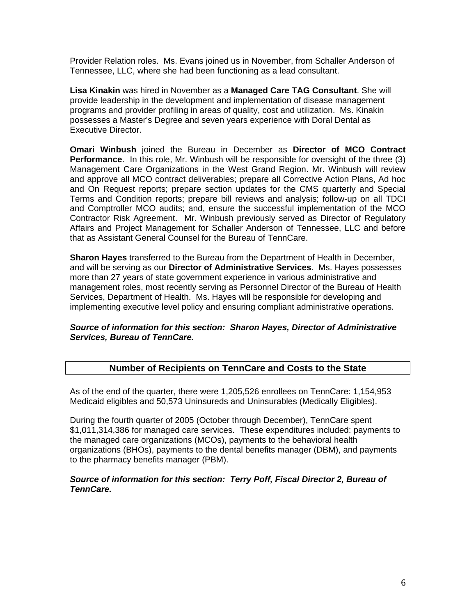Provider Relation roles. Ms. Evans joined us in November, from Schaller Anderson of Tennessee, LLC, where she had been functioning as a lead consultant.

**Lisa Kinakin** was hired in November as a **Managed Care TAG Consultant**. She will provide leadership in the development and implementation of disease management programs and provider profiling in areas of quality, cost and utilization. Ms. Kinakin possesses a Master's Degree and seven years experience with Doral Dental as Executive Director.

**Omari Winbush** joined the Bureau in December as **Director of MCO Contract Performance**. In this role, Mr. Winbush will be responsible for oversight of the three (3) Management Care Organizations in the West Grand Region. Mr. Winbush will review and approve all MCO contract deliverables; prepare all Corrective Action Plans, Ad hoc and On Request reports; prepare section updates for the CMS quarterly and Special Terms and Condition reports; prepare bill reviews and analysis; follow-up on all TDCI and Comptroller MCO audits; and, ensure the successful implementation of the MCO Contractor Risk Agreement. Mr. Winbush previously served as Director of Regulatory Affairs and Project Management for Schaller Anderson of Tennessee, LLC and before that as Assistant General Counsel for the Bureau of TennCare.

**Sharon Hayes** transferred to the Bureau from the Department of Health in December, and will be serving as our **Director of Administrative Services**. Ms. Hayes possesses more than 27 years of state government experience in various administrative and management roles, most recently serving as Personnel Director of the Bureau of Health Services, Department of Health. Ms. Hayes will be responsible for developing and implementing executive level policy and ensuring compliant administrative operations.

#### *Source of information for this section: Sharon Hayes, Director of Administrative Services, Bureau of TennCare.*

# **Number of Recipients on TennCare and Costs to the State**

As of the end of the quarter, there were 1,205,526 enrollees on TennCare: 1,154,953 Medicaid eligibles and 50,573 Uninsureds and Uninsurables (Medically Eligibles).

During the fourth quarter of 2005 (October through December), TennCare spent \$1,011,314,386 for managed care services. These expenditures included: payments to the managed care organizations (MCOs), payments to the behavioral health organizations (BHOs), payments to the dental benefits manager (DBM), and payments to the pharmacy benefits manager (PBM).

#### *Source of information for this section: Terry Poff, Fiscal Director 2, Bureau of TennCare.*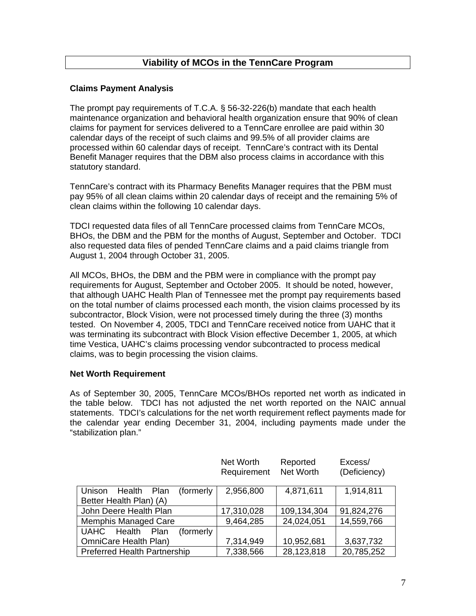# **Viability of MCOs in the TennCare Program**

#### **Claims Payment Analysis**

The prompt pay requirements of T.C.A. § 56-32-226(b) mandate that each health maintenance organization and behavioral health organization ensure that 90% of clean claims for payment for services delivered to a TennCare enrollee are paid within 30 calendar days of the receipt of such claims and 99.5% of all provider claims are processed within 60 calendar days of receipt. TennCare's contract with its Dental Benefit Manager requires that the DBM also process claims in accordance with this statutory standard.

TennCare's contract with its Pharmacy Benefits Manager requires that the PBM must pay 95% of all clean claims within 20 calendar days of receipt and the remaining 5% of clean claims within the following 10 calendar days.

TDCI requested data files of all TennCare processed claims from TennCare MCOs, BHOs, the DBM and the PBM for the months of August, September and October. TDCI also requested data files of pended TennCare claims and a paid claims triangle from August 1, 2004 through October 31, 2005.

All MCOs, BHOs, the DBM and the PBM were in compliance with the prompt pay requirements for August, September and October 2005. It should be noted, however, that although UAHC Health Plan of Tennessee met the prompt pay requirements based on the total number of claims processed each month, the vision claims processed by its subcontractor, Block Vision, were not processed timely during the three (3) months tested. On November 4, 2005, TDCI and TennCare received notice from UAHC that it was terminating its subcontract with Block Vision effective December 1, 2005, at which time Vestica, UAHC's claims processing vendor subcontracted to process medical claims, was to begin processing the vision claims.

#### **Net Worth Requirement**

As of September 30, 2005, TennCare MCOs/BHOs reported net worth as indicated in the table below. TDCI has not adjusted the net worth reported on the NAIC annual statements. TDCI's calculations for the net worth requirement reflect payments made for the calendar year ending December 31, 2004, including payments made under the "stabilization plan."

|                                                                | Net Worth<br>Requirement | Reported<br>Net Worth | Excess/<br>(Deficiency) |
|----------------------------------------------------------------|--------------------------|-----------------------|-------------------------|
| (formerly)<br>Health Plan<br>Unison<br>Better Health Plan) (A) | 2,956,800                | 4,871,611             | 1,914,811               |
| John Deere Health Plan                                         | 17,310,028               | 109,134,304           | 91,824,276              |
| <b>Memphis Managed Care</b>                                    | 9,464,285                | 24,024,051            | 14,559,766              |
| UAHC Health Plan<br>(formerly)                                 |                          |                       |                         |
| OmniCare Health Plan)                                          | 7,314,949                | 10,952,681            | 3,637,732               |
| <b>Preferred Health Partnership</b>                            | 7,338,566                | 28,123,818            | 20,785,252              |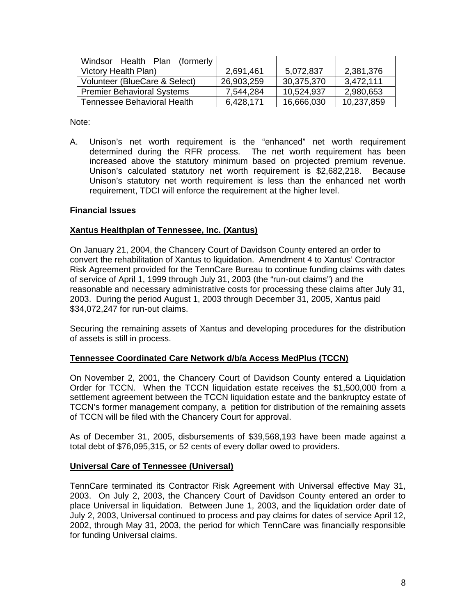| Windsor<br>Health Plan<br>(formerly) |            |            |            |
|--------------------------------------|------------|------------|------------|
| Victory Health Plan)                 | 2,691,461  | 5,072,837  | 2,381,376  |
| Volunteer (BlueCare & Select)        | 26,903,259 | 30,375,370 | 3,472,111  |
| <b>Premier Behavioral Systems</b>    | 7,544,284  | 10,524,937 | 2,980,653  |
| Tennessee Behavioral Health          | 6,428,171  | 16,666,030 | 10,237,859 |

Note:

A. Unison's net worth requirement is the "enhanced" net worth requirement determined during the RFR process. The net worth requirement has been increased above the statutory minimum based on projected premium revenue. Unison's calculated statutory net worth requirement is \$2,682,218. Because Unison's statutory net worth requirement is less than the enhanced net worth requirement, TDCI will enforce the requirement at the higher level.

#### **Financial Issues**

#### **Xantus Healthplan of Tennessee, Inc. (Xantus)**

On January 21, 2004, the Chancery Court of Davidson County entered an order to convert the rehabilitation of Xantus to liquidation. Amendment 4 to Xantus' Contractor Risk Agreement provided for the TennCare Bureau to continue funding claims with dates of service of April 1, 1999 through July 31, 2003 (the "run-out claims") and the reasonable and necessary administrative costs for processing these claims after July 31, 2003. During the period August 1, 2003 through December 31, 2005, Xantus paid \$34,072,247 for run-out claims.

Securing the remaining assets of Xantus and developing procedures for the distribution of assets is still in process.

#### **Tennessee Coordinated Care Network d/b/a Access MedPlus (TCCN)**

On November 2, 2001, the Chancery Court of Davidson County entered a Liquidation Order for TCCN. When the TCCN liquidation estate receives the \$1,500,000 from a settlement agreement between the TCCN liquidation estate and the bankruptcy estate of TCCN's former management company, a petition for distribution of the remaining assets of TCCN will be filed with the Chancery Court for approval.

As of December 31, 2005, disbursements of \$39,568,193 have been made against a total debt of \$76,095,315, or 52 cents of every dollar owed to providers.

#### **Universal Care of Tennessee (Universal)**

TennCare terminated its Contractor Risk Agreement with Universal effective May 31, 2003. On July 2, 2003, the Chancery Court of Davidson County entered an order to place Universal in liquidation. Between June 1, 2003, and the liquidation order date of July 2, 2003, Universal continued to process and pay claims for dates of service April 12, 2002, through May 31, 2003, the period for which TennCare was financially responsible for funding Universal claims.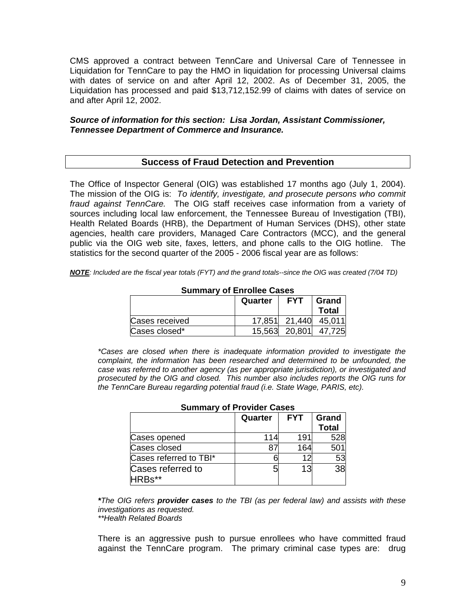CMS approved a contract between TennCare and Universal Care of Tennessee in Liquidation for TennCare to pay the HMO in liquidation for processing Universal claims with dates of service on and after April 12, 2002. As of December 31, 2005, the Liquidation has processed and paid \$13,712,152.99 of claims with dates of service on and after April 12, 2002.

#### *Source of information for this section: Lisa Jordan, Assistant Commissioner, Tennessee Department of Commerce and Insurance.*

#### **Success of Fraud Detection and Prevention**

The Office of Inspector General (OIG) was established 17 months ago (July 1, 2004). The mission of the OIG is: *To identify, investigate, and prosecute persons who commit fraud against TennCare.* The OIG staff receives case information from a variety of sources including local law enforcement, the Tennessee Bureau of Investigation (TBI), Health Related Boards (HRB), the Department of Human Services (DHS), other state agencies, health care providers, Managed Care Contractors (MCC), and the general public via the OIG web site, faxes, letters, and phone calls to the OIG hotline. The statistics for the second quarter of the 2005 - 2006 fiscal year are as follows:

*NOTE: Included are the fiscal year totals (FYT) and the grand totals--since the OIG was created (7/04 TD)* 

| <u>UMINIMI V UL ENIVIIVU UUUUU</u> |         |               |              |  |
|------------------------------------|---------|---------------|--------------|--|
|                                    | Quarter | Grand         |              |  |
|                                    |         |               | <b>Total</b> |  |
| Cases received                     |         | 17.851 21.440 | 45.011       |  |
| Cases closed*                      |         | 15,563 20,801 | 47,725       |  |

#### **Summary of Enrollee Cases**

*\*Cases are closed when there is inadequate information provided to investigate the complaint, the information has been researched and determined to be unfounded, the case was referred to another agency (as per appropriate jurisdiction), or investigated and prosecuted by the OIG and closed. This number also includes reports the OIG runs for the TennCare Bureau regarding potential fraud (i.e. State Wage, PARIS, etc).* 

| <b>Sullillial y OFFTOVIDEL Cases</b> |                                                |     |     |  |  |
|--------------------------------------|------------------------------------------------|-----|-----|--|--|
|                                      | <b>FYT</b><br>Grand<br>Quarter<br><b>Total</b> |     |     |  |  |
| Cases opened                         | 114                                            | 191 | 528 |  |  |
| Cases closed                         |                                                | 164 | 501 |  |  |
| Cases referred to TBI*               |                                                | 12  | 53  |  |  |
| Cases referred to<br><b>HRBs**</b>   |                                                | 13  | 38  |  |  |

# **Summary of Provider Cases**

*\*The OIG refers provider cases to the TBI (as per federal law) and assists with these investigations as requested.* 

 *\*\*Health Related Boards* 

 There is an aggressive push to pursue enrollees who have committed fraud against the TennCare program. The primary criminal case types are: drug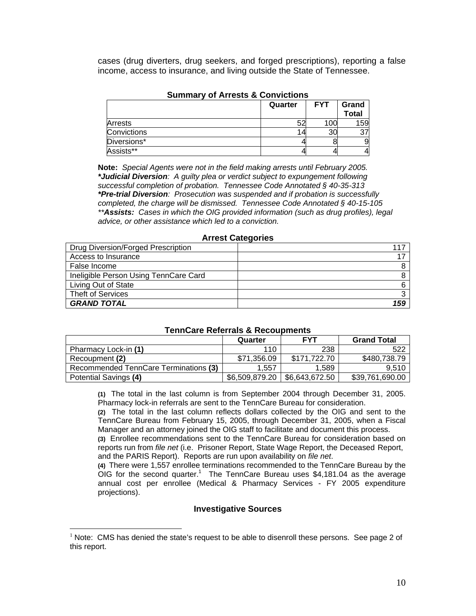cases (drug diverters, drug seekers, and forged prescriptions), reporting a false income, access to insurance, and living outside the State of Tennessee.

| .              |         |            |                       |
|----------------|---------|------------|-----------------------|
|                | Quarter | <b>FYT</b> | Grand<br><b>Total</b> |
| <b>Arrests</b> |         | 100        | 159                   |
| Convictions    |         | 30         | Ω.<br>ັ               |
| Diversions*    |         |            |                       |
| Assists**      |         |            |                       |

#### **Summary of Arrests & Convictions**

**Note:** *Special Agents were not in the field making arrests until February 2005. \*Judicial Diversion: A guilty plea or verdict subject to expungement following successful completion of probation. Tennessee Code Annotated § 40-35-313 \*Pre-trial Diversion: Prosecution was suspended and if probation is successfully completed, the charge will be dismissed. Tennessee Code Annotated § 40-15-105 \*\*Assists: Cases in which the OIG provided information (such as drug profiles), legal advice, or other assistance which led to a conviction.* 

| ATTGOL OULGYVIIGO                     |     |  |  |
|---------------------------------------|-----|--|--|
| Drug Diversion/Forged Prescription    | 117 |  |  |
| Access to Insurance                   |     |  |  |
| False Income                          |     |  |  |
| Ineligible Person Using TennCare Card |     |  |  |
| Living Out of State                   |     |  |  |
| <b>Theft of Services</b>              |     |  |  |
| <b>GRAND TOTAL</b>                    | 159 |  |  |

#### **Arrest Categories**

#### **TennCare Referrals & Recoupments**

|                                       | Quarter        | <b>FYT</b>     | <b>Grand Total</b> |
|---------------------------------------|----------------|----------------|--------------------|
| Pharmacy Lock-in (1)                  | 110            | 238            | 522                |
| Recoupment (2)                        | \$71,356.09    | \$171.722.70   | \$480,738.79       |
| Recommended TennCare Terminations (3) | 1.557          | 1.589          | 9.510              |
| Potential Savings (4)                 | \$6,509,879.20 | \$6,643,672.50 | \$39,761,690.00    |

 **(1)** The total in the last column is from September 2004 through December 31, 2005. Pharmacy lock-in referrals are sent to the TennCare Bureau for consideration.

**(2)** The total in the last column reflects dollars collected by the OIG and sent to the TennCare Bureau from February 15, 2005, through December 31, 2005, when a Fiscal Manager and an attorney joined the OIG staff to facilitate and document this process.

**(3)** Enrollee recommendations sent to the TennCare Bureau for consideration based on reports run from *file net* (i.e. Prisoner Report, State Wage Report, the Deceased Report, and the PARIS Report). Reports are run upon availability on *file net*.

**(4)** There were 1,557 enrollee terminations recommended to the TennCare Bureau by the OIG for the second quarter.<sup>1</sup> The TennCare Bureau uses \$4,181.04 as the average annual cost per enrollee (Medical & Pharmacy Services - FY 2005 expenditure projections).

#### **Investigative Sources**

 $\overline{a}$ 

 $1$  Note: CMS has denied the state's request to be able to disenroll these persons. See page 2 of this report.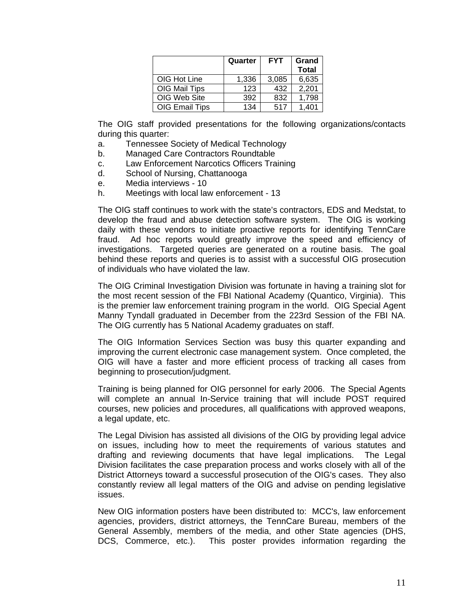|                       | Quarter | <b>FYT</b> | Grand<br><b>Total</b> |
|-----------------------|---------|------------|-----------------------|
| OIG Hot Line          | 1,336   | 3,085      | 6,635                 |
| OIG Mail Tips         | 123     | 432        | 2,201                 |
| OIG Web Site          | 392     | 832        | 1,798                 |
| <b>OIG Email Tips</b> | 134     | 517        | 1.401                 |

 The OIG staff provided presentations for the following organizations/contacts during this quarter:

- a. Tennessee Society of Medical Technology
- b. Managed Care Contractors Roundtable
- c. Law Enforcement Narcotics Officers Training
- d. School of Nursing, Chattanooga
- e. Media interviews 10
- h. Meetings with local law enforcement 13

 The OIG staff continues to work with the state's contractors, EDS and Medstat, to develop the fraud and abuse detection software system. The OIG is working daily with these vendors to initiate proactive reports for identifying TennCare fraud. Ad hoc reports would greatly improve the speed and efficiency of investigations. Targeted queries are generated on a routine basis. The goal behind these reports and queries is to assist with a successful OIG prosecution of individuals who have violated the law.

 The OIG Criminal Investigation Division was fortunate in having a training slot for the most recent session of the FBI National Academy (Quantico, Virginia). This is the premier law enforcement training program in the world. OIG Special Agent Manny Tyndall graduated in December from the 223rd Session of the FBI NA. The OIG currently has 5 National Academy graduates on staff.

 The OIG Information Services Section was busy this quarter expanding and improving the current electronic case management system. Once completed, the OIG will have a faster and more efficient process of tracking all cases from beginning to prosecution/judgment.

 Training is being planned for OIG personnel for early 2006. The Special Agents will complete an annual In-Service training that will include POST required courses, new policies and procedures, all qualifications with approved weapons, a legal update, etc.

 The Legal Division has assisted all divisions of the OIG by providing legal advice on issues, including how to meet the requirements of various statutes and drafting and reviewing documents that have legal implications. The Legal Division facilitates the case preparation process and works closely with all of the District Attorneys toward a successful prosecution of the OIG's cases. They also constantly review all legal matters of the OIG and advise on pending legislative issues.

 New OIG information posters have been distributed to: MCC's, law enforcement agencies, providers, district attorneys, the TennCare Bureau, members of the General Assembly, members of the media, and other State agencies (DHS, DCS, Commerce, etc.). This poster provides information regarding the